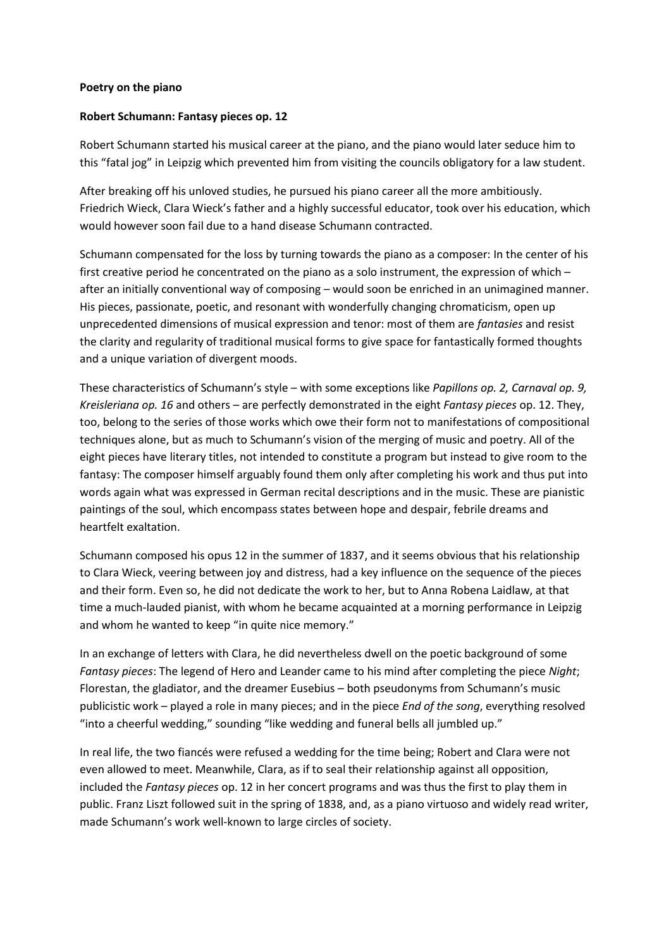## **Poetry on the piano**

## **Robert Schumann: Fantasy pieces op. 12**

Robert Schumann started his musical career at the piano, and the piano would later seduce him to this "fatal jog" in Leipzig which prevented him from visiting the councils obligatory for a law student.

After breaking off his unloved studies, he pursued his piano career all the more ambitiously. Friedrich Wieck, Clara Wieck's father and a highly successful educator, took over his education, which would however soon fail due to a hand disease Schumann contracted.

Schumann compensated for the loss by turning towards the piano as a composer: In the center of his first creative period he concentrated on the piano as a solo instrument, the expression of which – after an initially conventional way of composing – would soon be enriched in an unimagined manner. His pieces, passionate, poetic, and resonant with wonderfully changing chromaticism, open up unprecedented dimensions of musical expression and tenor: most of them are *fantasies* and resist the clarity and regularity of traditional musical forms to give space for fantastically formed thoughts and a unique variation of divergent moods.

These characteristics of Schumann's style – with some exceptions like *Papillons op. 2, Carnaval op. 9, Kreisleriana op. 16* and others – are perfectly demonstrated in the eight *Fantasy pieces* op. 12. They, too, belong to the series of those works which owe their form not to manifestations of compositional techniques alone, but as much to Schumann's vision of the merging of music and poetry. All of the eight pieces have literary titles, not intended to constitute a program but instead to give room to the fantasy: The composer himself arguably found them only after completing his work and thus put into words again what was expressed in German recital descriptions and in the music. These are pianistic paintings of the soul, which encompass states between hope and despair, febrile dreams and heartfelt exaltation.

Schumann composed his opus 12 in the summer of 1837, and it seems obvious that his relationship to Clara Wieck, veering between joy and distress, had a key influence on the sequence of the pieces and their form. Even so, he did not dedicate the work to her, but to Anna Robena Laidlaw, at that time a much-lauded pianist, with whom he became acquainted at a morning performance in Leipzig and whom he wanted to keep "in quite nice memory."

In an exchange of letters with Clara, he did nevertheless dwell on the poetic background of some *Fantasy pieces*: The legend of Hero and Leander came to his mind after completing the piece *Night*; Florestan, the gladiator, and the dreamer Eusebius – both pseudonyms from Schumann's music publicistic work – played a role in many pieces; and in the piece *End of the song*, everything resolved "into a cheerful wedding," sounding "like wedding and funeral bells all jumbled up."

In real life, the two fiancés were refused a wedding for the time being; Robert and Clara were not even allowed to meet. Meanwhile, Clara, as if to seal their relationship against all opposition, included the *Fantasy pieces* op. 12 in her concert programs and was thus the first to play them in public. Franz Liszt followed suit in the spring of 1838, and, as a piano virtuoso and widely read writer, made Schumann's work well-known to large circles of society.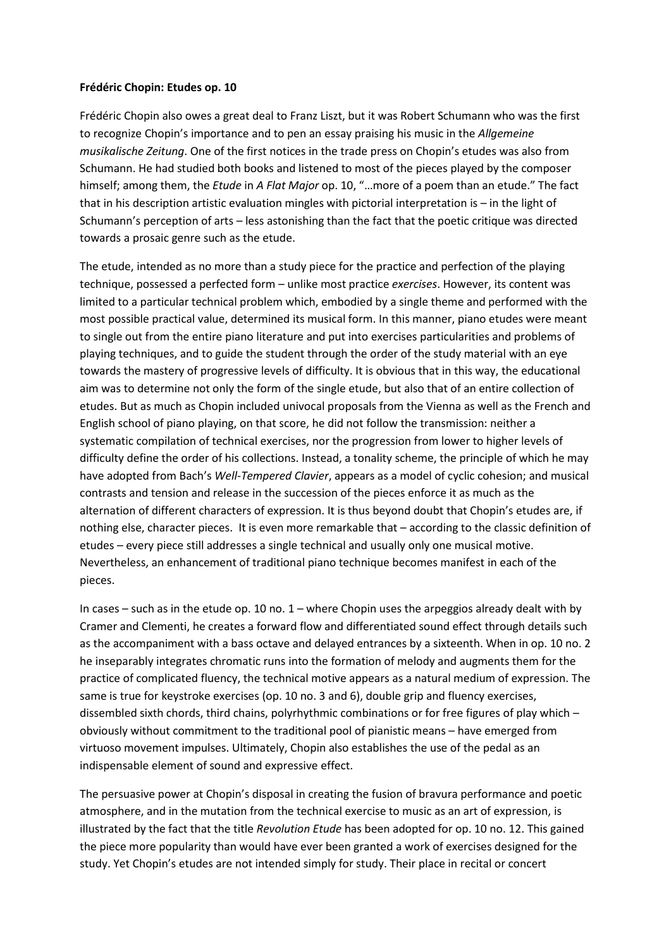## **Frédéric Chopin: Etudes op. 10**

Frédéric Chopin also owes a great deal to Franz Liszt, but it was Robert Schumann who was the first to recognize Chopin's importance and to pen an essay praising his music in the *Allgemeine musikalische Zeitung*. One of the first notices in the trade press on Chopin's etudes was also from Schumann. He had studied both books and listened to most of the pieces played by the composer himself; among them, the *Etude* in *A Flat Major* op. 10, "…more of a poem than an etude." The fact that in his description artistic evaluation mingles with pictorial interpretation is – in the light of Schumann's perception of arts – less astonishing than the fact that the poetic critique was directed towards a prosaic genre such as the etude.

The etude, intended as no more than a study piece for the practice and perfection of the playing technique, possessed a perfected form – unlike most practice *exercises*. However, its content was limited to a particular technical problem which, embodied by a single theme and performed with the most possible practical value, determined its musical form. In this manner, piano etudes were meant to single out from the entire piano literature and put into exercises particularities and problems of playing techniques, and to guide the student through the order of the study material with an eye towards the mastery of progressive levels of difficulty. It is obvious that in this way, the educational aim was to determine not only the form of the single etude, but also that of an entire collection of etudes. But as much as Chopin included univocal proposals from the Vienna as well as the French and English school of piano playing, on that score, he did not follow the transmission: neither a systematic compilation of technical exercises, nor the progression from lower to higher levels of difficulty define the order of his collections. Instead, a tonality scheme, the principle of which he may have adopted from Bach's *Well-Tempered Clavier*, appears as a model of cyclic cohesion; and musical contrasts and tension and release in the succession of the pieces enforce it as much as the alternation of different characters of expression. It is thus beyond doubt that Chopin's etudes are, if nothing else, character pieces. It is even more remarkable that – according to the classic definition of etudes – every piece still addresses a single technical and usually only one musical motive. Nevertheless, an enhancement of traditional piano technique becomes manifest in each of the pieces.

In cases – such as in the etude op. 10 no.  $1$  – where Chopin uses the arpeggios already dealt with by Cramer and Clementi, he creates a forward flow and differentiated sound effect through details such as the accompaniment with a bass octave and delayed entrances by a sixteenth. When in op. 10 no. 2 he inseparably integrates chromatic runs into the formation of melody and augments them for the practice of complicated fluency, the technical motive appears as a natural medium of expression. The same is true for keystroke exercises (op. 10 no. 3 and 6), double grip and fluency exercises, dissembled sixth chords, third chains, polyrhythmic combinations or for free figures of play which – obviously without commitment to the traditional pool of pianistic means – have emerged from virtuoso movement impulses. Ultimately, Chopin also establishes the use of the pedal as an indispensable element of sound and expressive effect.

The persuasive power at Chopin's disposal in creating the fusion of bravura performance and poetic atmosphere, and in the mutation from the technical exercise to music as an art of expression, is illustrated by the fact that the title *Revolution Etude* has been adopted for op. 10 no. 12. This gained the piece more popularity than would have ever been granted a work of exercises designed for the study. Yet Chopin's etudes are not intended simply for study. Their place in recital or concert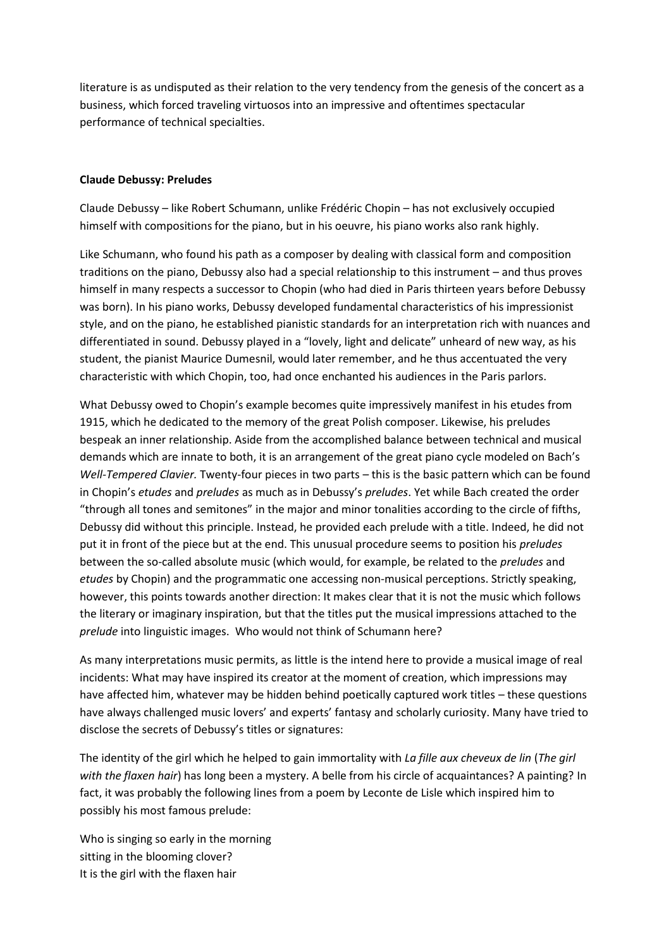literature is as undisputed as their relation to the very tendency from the genesis of the concert as a business, which forced traveling virtuosos into an impressive and oftentimes spectacular performance of technical specialties.

## **Claude Debussy: Preludes**

Claude Debussy – like Robert Schumann, unlike Frédéric Chopin – has not exclusively occupied himself with compositions for the piano, but in his oeuvre, his piano works also rank highly.

Like Schumann, who found his path as a composer by dealing with classical form and composition traditions on the piano, Debussy also had a special relationship to this instrument – and thus proves himself in many respects a successor to Chopin (who had died in Paris thirteen years before Debussy was born). In his piano works, Debussy developed fundamental characteristics of his impressionist style, and on the piano, he established pianistic standards for an interpretation rich with nuances and differentiated in sound. Debussy played in a "lovely, light and delicate" unheard of new way, as his student, the pianist Maurice Dumesnil, would later remember, and he thus accentuated the very characteristic with which Chopin, too, had once enchanted his audiences in the Paris parlors.

What Debussy owed to Chopin's example becomes quite impressively manifest in his etudes from 1915, which he dedicated to the memory of the great Polish composer. Likewise, his preludes bespeak an inner relationship. Aside from the accomplished balance between technical and musical demands which are innate to both, it is an arrangement of the great piano cycle modeled on Bach's *Well-Tempered Clavier.* Twenty-four pieces in two parts – this is the basic pattern which can be found in Chopin's *etudes* and *preludes* as much as in Debussy's *preludes*. Yet while Bach created the order "through all tones and semitones" in the major and minor tonalities according to the circle of fifths, Debussy did without this principle. Instead, he provided each prelude with a title. Indeed, he did not put it in front of the piece but at the end. This unusual procedure seems to position his *preludes* between the so-called absolute music (which would, for example, be related to the *preludes* and *etudes* by Chopin) and the programmatic one accessing non-musical perceptions. Strictly speaking, however, this points towards another direction: It makes clear that it is not the music which follows the literary or imaginary inspiration, but that the titles put the musical impressions attached to the *prelude* into linguistic images. Who would not think of Schumann here?

As many interpretations music permits, as little is the intend here to provide a musical image of real incidents: What may have inspired its creator at the moment of creation, which impressions may have affected him, whatever may be hidden behind poetically captured work titles – these questions have always challenged music lovers' and experts' fantasy and scholarly curiosity. Many have tried to disclose the secrets of Debussy's titles or signatures:

The identity of the girl which he helped to gain immortality with *La fille aux cheveux de lin* (*The girl with the flaxen hair*) has long been a mystery. A belle from his circle of acquaintances? A painting? In fact, it was probably the following lines from a poem by Leconte de Lisle which inspired him to possibly his most famous prelude:

Who is singing so early in the morning sitting in the blooming clover? It is the girl with the flaxen hair